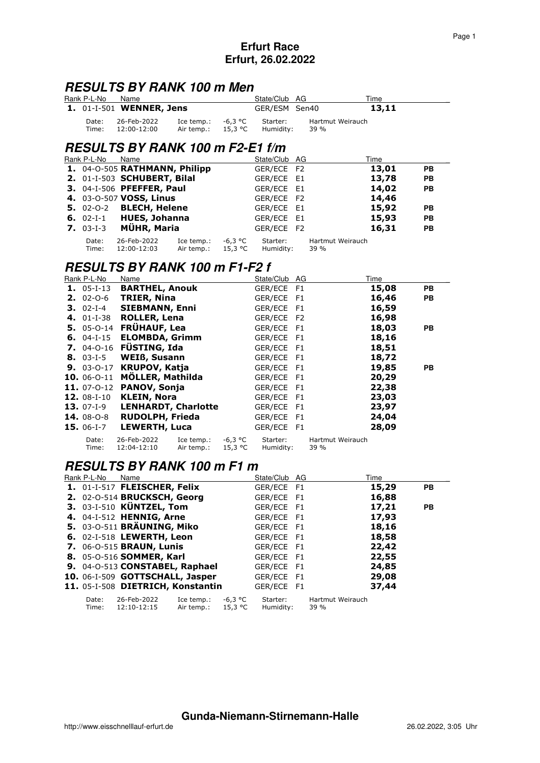## **RESULTS BY RANK 100 m Men**

| Rank P-L-No Name |                                        |                                            |         | State/Club AG         |                          | Time  |  |
|------------------|----------------------------------------|--------------------------------------------|---------|-----------------------|--------------------------|-------|--|
|                  | <b>1.</b> 01-I-501 <b>WENNER, Jens</b> |                                            |         | GER/ESM Sen40         |                          | 13,11 |  |
| Date:            | 26-Feb-2022<br>Time: 12:00-12:00       | Ice temp.:<br>Air temp.: $15.3 \text{ °C}$ | -6.3 °C | Starter:<br>Humiditv: | Hartmut Weirauch<br>39 % |       |  |

# **RESULTS BY RANK 100 m F2-E1 f/m**

| Rank P-L-No | Name                                  |            |         | State/Club AG |                  | Time  |           |
|-------------|---------------------------------------|------------|---------|---------------|------------------|-------|-----------|
|             | 1. 04-0-505 RATHMANN, Philipp         |            |         | GER/ECE F2    |                  | 13,01 | <b>PB</b> |
|             | 2. 01-I-503 SCHUBERT, Bilal           |            |         | GER/ECE E1    |                  | 13,78 | PB        |
|             | 3. 04-1-506 PFEFFER, Paul             |            |         | GER/ECE E1    |                  | 14,02 | <b>PB</b> |
|             | 4. 03-0-507 VOSS, Linus               |            |         | GER/ECE F2    |                  | 14,46 |           |
|             | <b>5.</b> 02-0-2 <b>BLECH, Helene</b> |            |         | GER/ECE E1    |                  | 15,92 | <b>PB</b> |
|             | 6. 02-I-1 HUES, Johanna               |            |         | GER/ECE E1    |                  | 15,93 | <b>PB</b> |
| $7.03-I-3$  | MÜHR, Maria                           |            |         | GER/ECE F2    |                  | 16,31 | <b>PB</b> |
| Date:       | 26-Feb-2022                           | Ice temp.: | -6,3 °C | Starter:      | Hartmut Weirauch |       |           |
| Time:       | 12:00-12:03                           | Air temp.: | 15,3 °C | Humidity:     | 39 %             |       |           |

### **RESULTS BY RANK 100 m F1-F2 f**

| Rank P-L-No       | Name                          |                          |                    | State/Club AG         |                          | Time  |           |
|-------------------|-------------------------------|--------------------------|--------------------|-----------------------|--------------------------|-------|-----------|
|                   | 1. 05-I-13 BARTHEL, Anouk     |                          |                    | GER/ECE F1            |                          | 15,08 | <b>PB</b> |
| $2.02 - 0.6$      | <b>TRIER, Nina</b>            |                          |                    | GER/ECE F1            |                          | 16,46 | <b>PB</b> |
| $3.02-I-4$        | <b>SIEBMANN, Enni</b>         |                          |                    | GER/ECE F1            |                          | 16,59 |           |
|                   | 4. 01-I-38 ROLLER, Lena       |                          |                    | GER/ECE F2            |                          | 16,98 |           |
|                   | 5. 05-0-14 FRÜHAUF, Lea       |                          |                    | GER/ECE F1            |                          | 18,03 | <b>PB</b> |
|                   | 6. 04-I-15 ELOMBDA, Grimm     |                          |                    | GER/ECE F1            |                          | 18,16 |           |
|                   | 7. $04 - 0 - 16$ FÜSTING, Ida |                          |                    | GER/ECE F1            |                          | 18,51 |           |
| <b>8.</b> 03-I-5  | <b>WEIß, Susann</b>           |                          |                    | GER/ECE F1            |                          | 18,72 |           |
| $9.03 - 0 - 17$   | <b>KRUPOV, Katja</b>          |                          |                    | GER/ECE F1            |                          | 19,85 | <b>PB</b> |
|                   | 10. 06-0-11 MÖLLER, Mathilda  |                          |                    | GER/ECE F1            |                          | 20,29 |           |
|                   | 11. 07-0-12 PANOV, Sonja      |                          |                    | GER/ECE F1            |                          | 22,38 |           |
| 12. $08-I-10$     | <b>KLEIN, Nora</b>            |                          |                    | GER/ECE F1            |                          | 23,03 |           |
| $13.07 - 1 - 9$   | <b>LENHARDT, Charlotte</b>    |                          |                    | GER/ECE F1            |                          | 23,97 |           |
| <b>14.</b> 08-0-8 | <b>RUDOLPH, Frieda</b>        |                          |                    | GER/ECE F1            |                          | 24,04 |           |
| <b>15.</b> 06-1-7 | LEWERTH, Luca                 |                          |                    | GER/ECE F1            |                          | 28,09 |           |
| Date:<br>Time:    | 26-Feb-2022<br>12:04-12:10    | Ice temp.:<br>Air temp.: | -6,3 °C<br>15,3 °C | Starter:<br>Humidity: | Hartmut Weirauch<br>39 % |       |           |

### **RESULTS BY RANK 100 m F1 m**

Time: 12:10-12:15 Air temp.: 15,3 °C Humidity: 39 %

| Rank P-L-No | Name                                 | State/Club AG |                  | Time  |           |
|-------------|--------------------------------------|---------------|------------------|-------|-----------|
|             | 1. 01-I-517 FLEISCHER, Felix         | GER/ECE F1    |                  | 15,29 | <b>PB</b> |
|             | 2. 02-0-514 BRUCKSCH, Georg          | GER/ECE F1    |                  | 16,88 |           |
|             | 3. 03-I-510 KÜNTZEL, Tom             | GER/ECE F1    |                  | 17,21 | <b>PB</b> |
|             | 4. 04-I-512 HENNIG, Arne             | GER/ECE F1    |                  | 17,93 |           |
|             | 5. 03-0-511 BRÄUNING, Miko           | GER/ECE F1    |                  | 18,16 |           |
|             | 6. 02-I-518 LEWERTH, Leon            | GER/ECE F1    |                  | 18,58 |           |
|             | 7. 06-0-515 BRAUN, Lunis             | GER/ECE F1    |                  | 22,42 |           |
|             | 8. 05-0-516 SOMMER, Karl             | GER/ECE F1    |                  | 22,55 |           |
|             | 9. 04-0-513 CONSTABEL, Raphael       | GER/ECE F1    |                  | 24,85 |           |
|             | 10. 06-I-509 GOTTSCHALL, Jasper      | GER/ECE F1    |                  | 29,08 |           |
|             | 11. 05-I-508 DIETRICH, Konstantin    | GER/ECE F1    |                  | 37,44 |           |
| Date:       | -6.3 °C<br>26-Feb-2022<br>Ice temp.: | Starter:      | Hartmut Weirauch |       |           |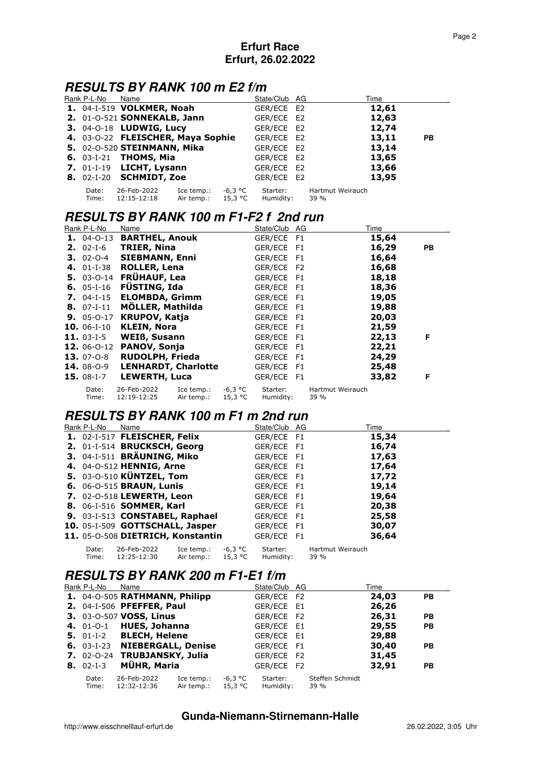# **RESULTS BY RANK 100 m E2 f/m**

| Rank P-L-No    | Name                                    |                          |                    | State/Club AG         |                          | Time  |           |
|----------------|-----------------------------------------|--------------------------|--------------------|-----------------------|--------------------------|-------|-----------|
|                | <b>1.</b> 04-I-519 <b>VOLKMER, Noah</b> |                          |                    | GER/ECE E2            |                          | 12,61 |           |
|                | 2. 01-0-521 SONNEKALB, Jann             |                          |                    | GER/ECE E2            |                          | 12,63 |           |
|                | 3. 04-0-18 LUDWIG, Lucy                 |                          |                    | GER/ECE E2            |                          | 12,74 |           |
|                | 4. 03-0-22 FLEISCHER, Maya Sophie       |                          |                    | GER/ECE E2            |                          | 13,11 | <b>PB</b> |
|                | 5. 02-0-520 STEINMANN, Mika             |                          |                    | GER/ECE E2            |                          | 13,14 |           |
|                | <b>6.</b> 03-I-21 <b>THOMS, Mia</b>     |                          |                    | GER/ECE E2            |                          | 13,65 |           |
|                | 7. $01-I-19$ LICHT, Lysann              |                          |                    | GER/ECE E2            |                          | 13,66 |           |
|                | <b>8.</b> 02-I-20 <b>SCHMIDT, Zoe</b>   |                          |                    | GER/ECE E2            |                          | 13,95 |           |
| Date:<br>Time: | 26-Feb-2022<br>12:15-12:18              | Ice temp.:<br>Air temp.: | -6,3 °C<br>15,3 °C | Starter:<br>Humidity: | Hartmut Weirauch<br>39 % |       |           |

### **RESULTS BY RANK 100 m F1-F2 f 2nd run**

| Rank P-L-No       | Name                       |                          |                      | State/Club AG         |                          | Time  |           |
|-------------------|----------------------------|--------------------------|----------------------|-----------------------|--------------------------|-------|-----------|
|                   | 1. 04-0-13 BARTHEL, Anouk  |                          |                      | GER/ECE F1            |                          | 15,64 |           |
|                   | 2. 02-I-6 TRIER, Nina      |                          |                      | GER/ECE F1            |                          | 16,29 | <b>PB</b> |
| $3.02 - 0 - 4$    | <b>SIEBMANN, Enni</b>      |                          |                      | GER/ECE F1            |                          | 16,64 |           |
|                   | 4. 01-I-38 ROLLER, Lena    |                          |                      | GER/ECE F2            |                          | 16,68 |           |
|                   | 5. 03-0-14 FRÜHAUF, Lea    |                          |                      | GER/ECE F1            |                          | 18,18 |           |
|                   | 6. $05-I-16$ FÜSTING, Ida  |                          |                      | GER/ECE F1            |                          | 18,36 |           |
|                   | 7. 04-I-15 ELOMBDA, Grimm  |                          |                      | GER/ECE F1            |                          | 19,05 |           |
| <b>8.</b> 07-I-11 | MÖLLER, Mathilda           |                          |                      | GER/ECE F1            |                          | 19,88 |           |
| $9.05 - 0 - 17$   | <b>KRUPOV, Katja</b>       |                          |                      | GER/ECE F1            |                          | 20,03 |           |
| $10.06 - 1 - 10$  | <b>KLEIN, Nora</b>         |                          |                      | GER/ECE F1            |                          | 21,59 |           |
| 11. $03-I-5$      | <b>WEIß, Susann</b>        |                          |                      | GER/ECE F1            |                          | 22,13 | F         |
|                   | 12. 06-0-12 PANOV, Sonja   |                          |                      | GER/ECE F1            |                          | 22,21 |           |
| <b>13.</b> 07-0-8 | <b>RUDOLPH, Frieda</b>     |                          |                      | GER/ECE F1            |                          | 24,29 |           |
| <b>14.</b> 08-0-9 | <b>LENHARDT, Charlotte</b> |                          |                      | GER/ECE F1            |                          | 25,48 |           |
| $15.08-I-7$       | <b>LEWERTH, Luca</b>       |                          |                      | GER/ECE F1            |                          | 33,82 | F         |
| Date:<br>Time:    | 26-Feb-2022<br>12:19-12:25 | Ice temp.:<br>Air temp.: | -6,3 °C<br>$15,3$ °C | Starter:<br>Humidity: | Hartmut Weirauch<br>39 % |       |           |

### **RESULTS BY RANK 100 m F1 m 2nd run**

| Rank P-L-No    | Name                              |                          |                    | State/Club AG         |                          | Time  |  |
|----------------|-----------------------------------|--------------------------|--------------------|-----------------------|--------------------------|-------|--|
|                | 1. 02-I-517 FLEISCHER, Felix      |                          |                    | GER/ECE F1            |                          | 15,34 |  |
|                | 2. 01-I-514 BRUCKSCH, Georg       |                          |                    | GER/ECE F1            |                          | 16,74 |  |
|                | 3. 04-I-511 BRÄUNING, Miko        |                          |                    | GER/ECE F1            |                          | 17,63 |  |
|                | 4. 04-0-512 HENNIG, Arne          |                          |                    | GER/ECE F1            |                          | 17,64 |  |
|                | 5. 03-0-510 KÜNTZEL, Tom          |                          |                    | GER/ECE F1            |                          | 17,72 |  |
|                | 6. 06-0-515 BRAUN, Lunis          |                          |                    | GER/ECE F1            |                          | 19,14 |  |
|                | <b>7.</b> 02-0-518 LEWERTH, Leon  |                          |                    | GER/ECE F1            |                          | 19,64 |  |
|                | 8. 06-1-516 SOMMER, Karl          |                          |                    | GER/ECE F1            |                          | 20,38 |  |
|                | 9. 03-I-513 CONSTABEL, Raphael    |                          |                    | GER/ECE F1            |                          | 25,58 |  |
|                | 10. 05-I-509 GOTTSCHALL, Jasper   |                          |                    | GER/ECE F1            |                          | 30,07 |  |
|                | 11. 05-0-508 DIETRICH, Konstantin |                          |                    | GER/ECE F1            |                          | 36,64 |  |
| Date:<br>Time: | 26-Feb-2022<br>12:25-12:30        | Ice temp.:<br>Air temp.: | -6,3 °C<br>15,3 °C | Starter:<br>Humidity: | Hartmut Weirauch<br>39 % |       |  |

## **RESULTS BY RANK 200 m F1-E1 f/m**

| Rank P-L-No    | Name                          |                          |                    | State/Club AG         |                         | Time  |           |
|----------------|-------------------------------|--------------------------|--------------------|-----------------------|-------------------------|-------|-----------|
|                | 1. 04-0-505 RATHMANN, Philipp |                          |                    | GER/ECE F2            |                         | 24,03 | <b>PB</b> |
|                | 2. 04-1-506 PFEFFER, Paul     |                          |                    | GER/ECE E1            |                         | 26,26 |           |
|                | 3. 03-0-507 VOSS, Linus       |                          |                    | GER/ECE F2            |                         | 26,31 | <b>PB</b> |
|                | 4. 01-0-1 HUES, Johanna       |                          |                    | GER/ECE E1            |                         | 29,55 | <b>PB</b> |
|                | 5. 01-I-2 BLECH, Helene       |                          |                    | GER/ECE E1            |                         | 29,88 |           |
|                | 6. 03-I-23 NIEBERGALL, Denise |                          |                    | GER/ECE F1            |                         | 30,40 | <b>PB</b> |
|                | 7. 02-0-24 TRUBJANSKY, Julia  |                          |                    | GER/ECE F2            |                         | 31,45 |           |
| $8.02 - 1 - 3$ | MÜHR, Maria                   |                          |                    | GER/ECE F2            |                         | 32,91 | <b>PB</b> |
| Date:<br>Time: | 26-Feb-2022<br>12:32-12:36    | Ice temp.:<br>Air temp.: | -6,3 °C<br>15,3 °C | Starter:<br>Humidity: | Steffen Schmidt<br>39 % |       |           |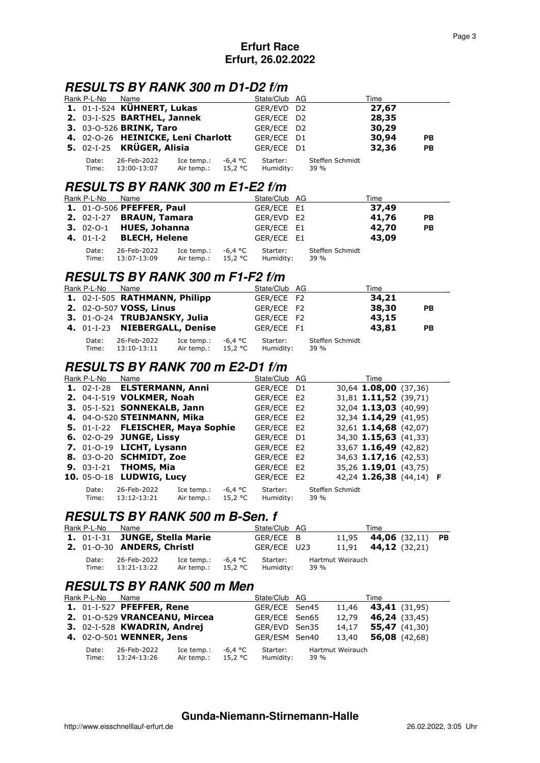# **RESULTS BY RANK 300 m D1-D2 f/m**

| Rank P-L-No         | Name                                    |                          |                    | State/Club AG         |                         | Time  |           |
|---------------------|-----------------------------------------|--------------------------|--------------------|-----------------------|-------------------------|-------|-----------|
|                     | 1. 01-I-524 KÜHNERT, Lukas              |                          |                    | GER/EVD D2            |                         | 27,67 |           |
|                     | 2. 03-I-525 BARTHEL, Jannek             |                          |                    | GER/ECE D2            |                         | 28,35 |           |
|                     | <b>3. 03-0-526 BRINK, Taro</b>          |                          |                    | GER/ECE D2            |                         | 30,29 |           |
|                     | 4. 02-0-26 HEINICKE, Leni Charlott      |                          |                    | GER/ECE D1            |                         | 30,94 | <b>PB</b> |
|                     | 5. 02-I-25 KRÜGER, Alisia               |                          |                    | GER/ECE D1            |                         | 32,36 | <b>PB</b> |
| Date:<br>Time:      | 26-Feb-2022<br>13:00-13:07              | Ice temp.:<br>Air temp.: | -6,4 °C<br>15,2 °C | Starter:<br>Humidity: | Steffen Schmidt<br>39 % |       |           |
|                     | <b>RESULTS BY RANK 300 m E1-E2 f/m</b>  |                          |                    |                       |                         |       |           |
| Rank P-L-No         | Name                                    |                          |                    | State/Club AG         |                         | Time  |           |
|                     | <b>1.</b> 01-0-506 <b>PFEFFER, Paul</b> |                          |                    | GER/ECE E1            |                         | 37,49 |           |
| <b>2.</b> $02-I-27$ | <b>BRAUN, Tamara</b>                    |                          |                    | GER/EVD E2            |                         | 41,76 | <b>PB</b> |
| $3.02 - 0 - 1$      | <b>HUES, Johanna</b>                    |                          |                    | GER/ECE E1            |                         | 42,70 | <b>PB</b> |
| 4. $01-I-2$         | <b>BLECH, Helene</b>                    |                          |                    | GER/ECE E1            |                         | 43,09 |           |

| $\frac{1}{2}$ $\frac{1}{2}$ $\frac{1}{2}$ $\frac{1}{2}$ $\frac{1}{2}$ $\frac{1}{2}$ $\frac{1}{2}$ $\frac{1}{2}$ $\frac{1}{2}$ $\frac{1}{2}$ $\frac{1}{2}$ $\frac{1}{2}$ $\frac{1}{2}$ $\frac{1}{2}$ $\frac{1}{2}$ $\frac{1}{2}$ $\frac{1}{2}$ $\frac{1}{2}$ $\frac{1}{2}$ $\frac{1}{2}$ $\frac{1}{2}$ $\frac{1}{2}$ |                   |                                     |  |                 |  |
|---------------------------------------------------------------------------------------------------------------------------------------------------------------------------------------------------------------------------------------------------------------------------------------------------------------------|-------------------|-------------------------------------|--|-----------------|--|
|                                                                                                                                                                                                                                                                                                                     | Date: 26-Feb-2022 | Ice temp.: $-6.4$ °C Starter:       |  | Steffen Schmidt |  |
|                                                                                                                                                                                                                                                                                                                     | Time: 13:07-13:09 | Air temp.: $15.2$ °C Humidity: 39 % |  |                 |  |

# **RESULTS BY RANK 300 m F1-F2 f/m**

| Rank P-L-No    | Name                          |                          |                    | State/Club AG         |                         | Time  |           |
|----------------|-------------------------------|--------------------------|--------------------|-----------------------|-------------------------|-------|-----------|
|                | 1. 02-I-505 RATHMANN, Philipp |                          |                    | GER/ECE F2            |                         | 34,21 |           |
|                | 2. 02-0-507 VOSS, Linus       |                          |                    | GER/ECE F2            |                         | 38,30 | PB        |
|                | 3. 01-0-24 TRUBJANSKY, Julia  |                          |                    | GER/ECE F2            |                         | 43,15 |           |
|                | 4. 01-I-23 NIEBERGALL, Denise |                          |                    | GER/ECE F1            |                         | 43,81 | <b>PB</b> |
| Date:<br>Time: | 26-Feb-2022<br>13:10-13:11    | Ice temp.:<br>Air temp.: | -6,4 °C<br>15,2 °C | Starter:<br>Humidity: | Steffen Schmidt<br>39 % |       |           |

# **RESULTS BY RANK 700 m E2-D1 f/m**

| Rank P-L-No    | Name                                |                          |                    | State/Club AG         |                         | Time                    |  |
|----------------|-------------------------------------|--------------------------|--------------------|-----------------------|-------------------------|-------------------------|--|
|                | 1. 02-I-28 ELSTERMANN, Anni         |                          |                    | GER/ECE D1            |                         | 30,64 1.08,00 (37,36)   |  |
|                | 2. 04-I-519 VOLKMER, Noah           |                          |                    | GER/ECE E2            |                         | 31,81 1.11,52 (39,71)   |  |
|                | 3. 05-I-521 SONNEKALB, Jann         |                          |                    | GER/ECE E2            |                         | 32,04 1.13,03 (40,99)   |  |
|                | 4. 04-0-520 STEINMANN, Mika         |                          |                    | GER/ECE E2            |                         | 32,34 1.14,29 (41,95)   |  |
|                | 5. 01-I-22 FLEISCHER, Maya Sophie   |                          |                    | GER/ECE E2            |                         | 32,61 1.14,68 (42,07)   |  |
|                | 6. 02-0-29 JUNGE, Lissy             |                          |                    | GER/ECE D1            |                         | 34,30 1.15,63 (41,33)   |  |
|                | 7. 01-0-19 LICHT, Lysann            |                          |                    | GER/ECE E2            |                         | 33,67 1.16,49 (42,82)   |  |
|                | 8. 03-0-20 SCHMIDT, Zoe             |                          |                    | GER/ECE E2            |                         | 34,63 1.17,16 (42,53)   |  |
|                | <b>9.</b> 03-I-21 <b>THOMS, Mia</b> |                          |                    | GER/ECE E2            |                         | 35,26 1.19,01 (43,75)   |  |
|                | 10. 05-0-18 LUDWIG, Lucy            |                          |                    | GER/ECE E2            |                         | 42,24 1.26,38 (44,14) F |  |
| Date:<br>Time: | 26-Feb-2022<br>13:12-13:21          | Ice temp.:<br>Air temp.: | -6,4 °C<br>15,2 °C | Starter:<br>Humidity: | Steffen Schmidt<br>39 % |                         |  |

## **RESULTS BY RANK 500 m B-Sen. f**

| Rank P-L-No    | Name                       |                                    |         | State/Club AG         |                          | Time                                 |  |
|----------------|----------------------------|------------------------------------|---------|-----------------------|--------------------------|--------------------------------------|--|
|                |                            | 1. 01-I-31 JUNGE, Stella Marie     |         | GER/ECE B             |                          | 11,95 <b>44,06</b> (32,11) <b>PB</b> |  |
|                | 2. 01-0-30 ANDERS, Christl |                                    |         | GER/ECE U23           |                          | $11,91$ <b>44,12</b> (32,21)         |  |
| Date:<br>Time: | 26-Feb-2022<br>13:21-13:22 | Ice temp.:<br>Air temp.: $15.2 °C$ | -6.4 °C | Starter:<br>Humidity: | Hartmut Weirauch<br>39 % |                                      |  |

### **RESULTS BY RANK 500 m Men**

| Rank P-L-No    | Name                                    |                          |                    | State/Club AG         |      |                              | Time            |                      |
|----------------|-----------------------------------------|--------------------------|--------------------|-----------------------|------|------------------------------|-----------------|----------------------|
|                | <b>1.</b> 01-I-527 <b>PFEFFER, Rene</b> |                          |                    | GER/ECE Sen45         |      | $11,46$ <b>43,41</b> (31,95) |                 |                      |
|                | 2. 01-0-529 VRANCEANU, Mircea           |                          |                    | GER/ECE Sen65         |      | 12.79                        |                 | <b>46,24</b> (33,45) |
|                | 3. 02-I-528 KWADRIN, Andrej             |                          |                    | GER/EVD Sen35         |      | 14.17                        | 55,47 $(41,30)$ |                      |
|                | 4. 02-0-501 WENNER, Jens                |                          |                    | GER/ESM Sen40         |      | 13,40                        |                 | 56,08 $(42,68)$      |
| Date:<br>Time: | 26-Feb-2022<br>13:24-13:26              | Ice temp.:<br>Air temp.: | -6,4 °C<br>15,2 °C | Starter:<br>Humidity: | 39 % | Hartmut Weirauch             |                 |                      |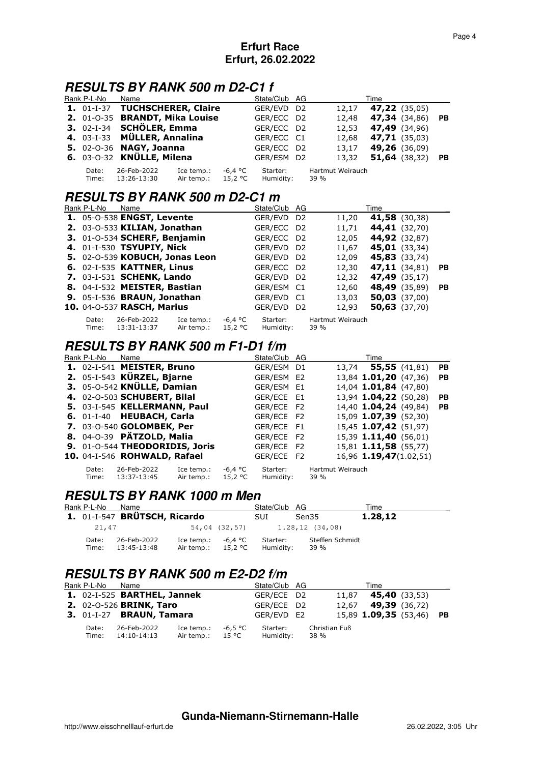# **RESULTS BY RANK 500 m D2-C1 f**

| Rank P-L-No    | Name                           |                          |                    | State/Club AG         |                          | Time                 |           |
|----------------|--------------------------------|--------------------------|--------------------|-----------------------|--------------------------|----------------------|-----------|
|                | 1. 01-I-37 TUCHSCHERER, Claire |                          |                    | GER/EVD D2            | 12.17                    | <b>47,22</b> (35,05) |           |
|                | 2. 01-0-35 BRANDT, Mika Louise |                          |                    | GER/ECC D2            | 12,48                    | <b>47,34</b> (34,86) | <b>PB</b> |
|                | 3. 02-I-34 SCHÖLER, Emma       |                          |                    | GER/ECC D2            | 12,53                    | 47,49 (34,96)        |           |
|                | 4. 03-I-33 MÜLLER, Annalina    |                          |                    | GER/ECC C1            | 12.68                    | 47,71 (35,03)        |           |
|                | 5. 02-0-36 NAGY, Joanna        |                          |                    | GER/ECC D2            | 13,17                    | 49,26 (36,09)        |           |
|                | 6. 03-0-32 KNÜLLE, Milena      |                          |                    | GER/ESM D2            | 13,32                    | 51,64 (38,32)        | PB.       |
| Date:<br>Time: | 26-Feb-2022<br>13:26-13:30     | Ice temp.:<br>Air temp.: | -6,4 °C<br>15,2 °C | Starter:<br>Humidity: | Hartmut Weirauch<br>39 % |                      |           |

### **RESULTS BY RANK 500 m D2-C1 m**

| Rank P-L-No    | Name                                    |                          |                    | State/Club AG         |                          | Time                 |           |
|----------------|-----------------------------------------|--------------------------|--------------------|-----------------------|--------------------------|----------------------|-----------|
|                | 1. 05-0-538 ENGST, Levente              |                          |                    | GER/EVD D2            | 11,20                    | 41,58 (30,38)        |           |
|                | 2. 03-0-533 KILIAN, Jonathan            |                          |                    | GER/ECC D2            | 11,71                    | 44,41 (32,70)        |           |
|                | 3. 01-0-534 SCHERF, Benjamin            |                          |                    | GER/ECC D2            | 12,05                    | 44,92 (32,87)        |           |
|                | 4. 01-I-530 TSYUPIY, Nick               |                          |                    | GER/EVD D2            | 11,67                    | <b>45,01</b> (33,34) |           |
|                | 5. 02-0-539 KOBUCH, Jonas Leon          |                          |                    | GER/EVD D2            | 12,09                    | 45,83 (33,74)        |           |
|                | 6. 02-I-535 KATTNER, Linus              |                          |                    | GER/ECC D2            | 12,30                    | $47,11$ (34,81)      | PB.       |
|                | <b>7.</b> 03-I-531 <b>SCHENK, Lando</b> |                          |                    | GER/EVD D2            | 12,32                    | <b>47,49</b> (35,17) |           |
|                | 8. 04-I-532 MEISTER, Bastian            |                          |                    | GER/ESM C1            | 12,60                    | 48,49 (35,89)        | <b>PB</b> |
|                | 9. 05-I-536 BRAUN, Jonathan             |                          |                    | GER/EVD C1            | 13,03                    | $50,03$ (37,00)      |           |
|                | 10. 04-0-537 RASCH, Marius              |                          |                    | GER/EVD D2            | 12,93                    | $50,63$ (37,70)      |           |
| Date:<br>Time: | 26-Feb-2022<br>13:31-13:37              | Ice temp.:<br>Air temp.: | -6,4 °C<br>15,2 °C | Starter:<br>Humidity: | Hartmut Weirauch<br>39 % |                      |           |

### **RESULTS BY RANK 500 m F1-D1 f/m**

| Rank P-L-No    | Name                           |                          |                    | State/Club AG         | Time                          |           |
|----------------|--------------------------------|--------------------------|--------------------|-----------------------|-------------------------------|-----------|
|                | 1. 02-I-541 MEISTER, Bruno     |                          |                    | GER/ESM D1            | <b>55,55</b> (41,81)<br>13,74 | <b>PB</b> |
|                | 2. 05-I-543 KÜRZEL, Bjarne     |                          |                    | GER/ESM E2            | 13,84 1.01,20 (47,36)         | <b>PB</b> |
|                | 3. 05-0-542 KNÜLLE, Damian     |                          |                    | GER/ESM E1            | 14,04 1.01,84 (47,80)         |           |
|                | 4. 02-0-503 SCHUBERT, Bilal    |                          |                    | GER/ECE E1            | 13,94 1.04,22 (50,28)         | <b>PB</b> |
|                | 5. 03-I-545 KELLERMANN, Paul   |                          |                    | GER/ECE F2            | 14,40 1.04,24 (49,84)         | <b>PB</b> |
|                | 6. 01-I-40 HEUBACH, Carla      |                          |                    | GER/ECE F2            | 15,09 1.07,39 (52,30)         |           |
|                | 7. 03-0-540 GOLOMBEK, Per      |                          |                    | GER/ECE F1            | 15,45 1.07,42 (51,97)         |           |
|                | 8. 04-0-39 PÄTZOLD, Malia      |                          |                    | GER/ECE F2            | 15,39 1.11,40 (56,01)         |           |
|                | 9. 01-0-544 THEODORIDIS, Joris |                          |                    | GER/ECE F2            | 15,81 1.11,58 (55,77)         |           |
|                | 10. 04-I-546 ROHWALD, Rafael   |                          |                    | GER/ECE F2            | 16,96 1.19,47(1.02,51)        |           |
| Date:<br>Time: | 26-Feb-2022<br>13:37-13:45     | Ice temp.:<br>Air temp.: | -6,4 °C<br>15,2 °C | Starter:<br>Humidity: | Hartmut Weirauch<br>39 %      |           |

### **RESULTS BY RANK 1000 m Men**

| Rank P-L-No    | Name                         |                                                      | State/Club AG         |                               | Time    |  |
|----------------|------------------------------|------------------------------------------------------|-----------------------|-------------------------------|---------|--|
|                | 1. 01-I-547 BRÜTSCH, Ricardo |                                                      | SUI.                  | Sen35                         | 1.28,12 |  |
| 21,47          |                              |                                                      |                       | 54,04 (32,57) 1.28,12 (34,08) |         |  |
| Date:<br>Time: | 26-Feb-2022<br>13:45-13:48   | Ice temp.: $-6.4$ °C<br>Air temp.: $15.2 \text{ °C}$ | Starter:<br>Humidity: | Steffen Schmidt<br>39 %       |         |  |

# **RESULTS BY RANK 500 m E2-D2 f/m**

| Rank P-L-No    | Name                                   |                                  |         | State/Club AG         |                       | Time                            |  |
|----------------|----------------------------------------|----------------------------------|---------|-----------------------|-----------------------|---------------------------------|--|
|                | 1. 02-I-525 BARTHEL, Jannek            |                                  |         | GER/ECE D2            |                       | 11,87 <b>45,40</b> (33,53)      |  |
|                | 2. 02-0-526 BRINK, Taro                |                                  |         | GER/ECE D2            |                       | $12,67$ <b>49,39</b> (36,72)    |  |
|                | <b>3.</b> 01-I-27 <b>BRAUN, Tamara</b> |                                  |         | GER/EVD E2            |                       | 15,89 <b>1.09,35</b> (53,46) PB |  |
| Date:<br>Time: | 26-Feb-2022<br>14:10-14:13             | Ice temp.:<br>Air temp.: $15 °C$ | -6,5 °C | Starter:<br>Humidity: | Christian Fuß<br>38 % |                                 |  |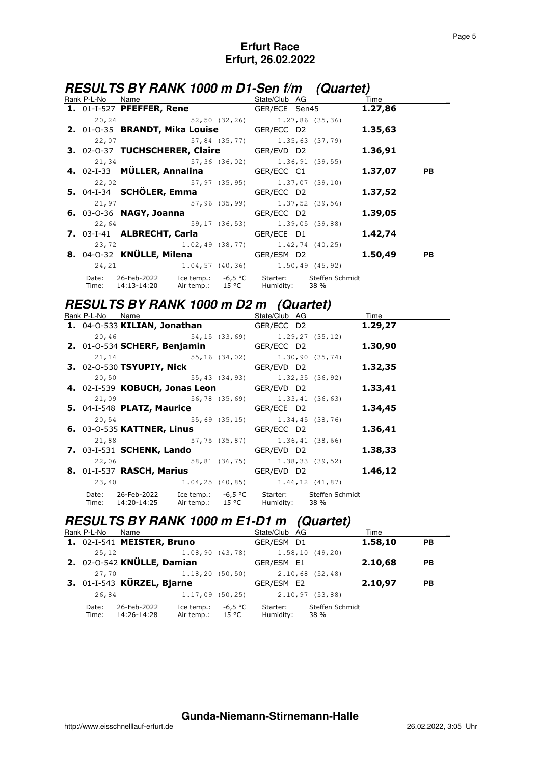# **RESULTS BY RANK 1000 m D1-Sen f/m (Quartet)**

|  | <b>Rank P-L-No Name</b> Name Name State/Club AG Time                                                               |  |            |  |
|--|--------------------------------------------------------------------------------------------------------------------|--|------------|--|
|  | 1. 01-I-527 PFEFFER, Rene GER/ECE Sen45 1.27,86                                                                    |  |            |  |
|  | 20,24 52,50 (32,26) 1.27,86 (35,36)                                                                                |  |            |  |
|  | <b>2.</b> 01-0-35 <b>BRANDT, Mika Louise GER/ECC</b> D2 <b>1.35,63</b>                                             |  |            |  |
|  | 22,07 57,84 (35,77) 1.35,63 (37,79)                                                                                |  |            |  |
|  | 3. 02-0-37 TUCHSCHERER, Claire GER/EVD D2 1.36,91                                                                  |  |            |  |
|  | 21, 34 57, 36 (36, 02) 1.36, 91 (39, 55)                                                                           |  |            |  |
|  | <b>4.</b> 02-I-33 <b>MÜLLER, Annalina</b> GER/ECC C1                                                               |  | 1.37,07 PB |  |
|  | 22,02 57,97 (35,95) 1.37,07 (39,10)                                                                                |  |            |  |
|  | <b>5.</b> 04-I-34 <b>SCHÖLER, Emma GER/ECC</b> D2 <b>1.37,52</b>                                                   |  |            |  |
|  | $21,97$ 57,96 (35,99) 1.37,52 (39,56)                                                                              |  |            |  |
|  | <b>6.</b> 03-0-36 <b>NAGY, Joanna CER/ECC D2 1.39,05</b>                                                           |  |            |  |
|  | 22,64 59,17 (36,53) 1.39,05 (39,88)                                                                                |  |            |  |
|  | 7. 03-1-41 <b>ALBRECHT, Carla GER/ECE D1 1.42,74</b>                                                               |  |            |  |
|  | $1.02, 49$ (38,77) $1.42, 74$ (40,25)                                                                              |  |            |  |
|  | 8. 04-0-32 KNÜLLE, Milena GER/ESM D2 1.50,49 PB                                                                    |  |            |  |
|  | 24, 21 1.04, 57 (40, 36) 1.50, 49 (45, 92)                                                                         |  |            |  |
|  | Date: 26-Feb-2022 Ice temp.: -6,5 °C Starter: Steffen Schmidt<br>Time: 14:13-14:20 Air temp.: 15 °C Humidity: 38 % |  |            |  |

### **RESULTS BY RANK 1000 m D2 m (Quartet)**

| Rank P-L-No Name |                                                                                                                    | State/Club AG | Time    |
|------------------|--------------------------------------------------------------------------------------------------------------------|---------------|---------|
|                  | 1. 04-0-533 KILIAN, Jonathan GER/ECC D2                                                                            |               | 1.29,27 |
|                  | $20,46$ 54,15 (33,69) 1.29,27 (35,12)                                                                              |               |         |
|                  | <b>2.</b> 01-0-534 <b>SCHERF, Benjamin</b> GER/ECC D2                                                              |               | 1.30,90 |
|                  | 21, 14 55, 16 (34, 02) 1.30, 90 (35, 74)                                                                           |               |         |
|                  | 3. 02-0-530 TSYUPIY, Nick GER/EVD D2                                                                               |               | 1.32,35 |
|                  | 20,50 55,43 (34,93) 1.32,35 (36,92)                                                                                |               |         |
|                  | 4. 02-I-539 KOBUCH, Jonas Leon GER/EVD D2                                                                          |               | 1.33,41 |
|                  | 21,09 56,78 (35,69) 1.33,41 (36,63)                                                                                |               |         |
|                  | 5. 04-I-548 PLATZ, Maurice GER/ECE D2                                                                              |               | 1.34,45 |
|                  | 20,54 55,69 (35,15) 1.34,45 (38,76)                                                                                |               |         |
|                  | <b>6.</b> 03-O-535 KATTNER, Linus GER/ECC D2                                                                       |               | 1.36,41 |
|                  | 21,88 57,75 (35,87) 1.36,41 (38,66)                                                                                |               |         |
|                  | 7. 03-I-531 SCHENK, Lando GER/EVD D2                                                                               |               | 1.38,33 |
|                  | 22,06 58,81 (36,75) 1.38,33 (39,52)                                                                                |               |         |
|                  | 8. 01-I-537 RASCH, Marius GER/EVD D2                                                                               |               | 1.46,12 |
|                  | 23,40 1.04,25 (40,85) 1.46,12 (41,87)                                                                              |               |         |
|                  | Date: 26-Feb-2022 Ice temp.: -6,5 °C Starter: Steffen Schmidt<br>Time: 14:20-14:25 Air temp.: 15 °C Humidity: 38 % |               |         |

# **RESULTS BY RANK 1000 m E1-D1 m (Quartet)**

| Rank P-L-No    | Name                       |                                  |         | State/Club AG         |                         | Time    |           |
|----------------|----------------------------|----------------------------------|---------|-----------------------|-------------------------|---------|-----------|
|                | 1. 02-I-541 MEISTER, Bruno |                                  |         | GER/ESM D1            |                         | 1.58,10 | <b>PB</b> |
| 25,12          |                            | 1.08, 90 (43, 78)                |         |                       | $1.58, 10$ (49,20)      |         |           |
|                | 2. 02-0-542 KNÜLLE, Damian |                                  |         | GER/ESM E1            |                         | 2.10,68 | <b>PB</b> |
| 27,70          |                            | 1.18, 20(50, 50)                 |         |                       | $2.10,68$ (52,48)       |         |           |
|                | 3. 01-I-543 KÜRZEL, Bjarne |                                  |         | GER/ESM E2            |                         | 2.10,97 | <b>PB</b> |
| 26,84          |                            | 1.17,09(50,25)                   |         |                       | $2.10, 97$ (53,88)      |         |           |
| Date:<br>Time: | 26-Feb-2022<br>14:26-14:28 | Ice temp.:<br>Air temp.: $15 °C$ | -6,5 °C | Starter:<br>Humidity: | Steffen Schmidt<br>38 % |         |           |